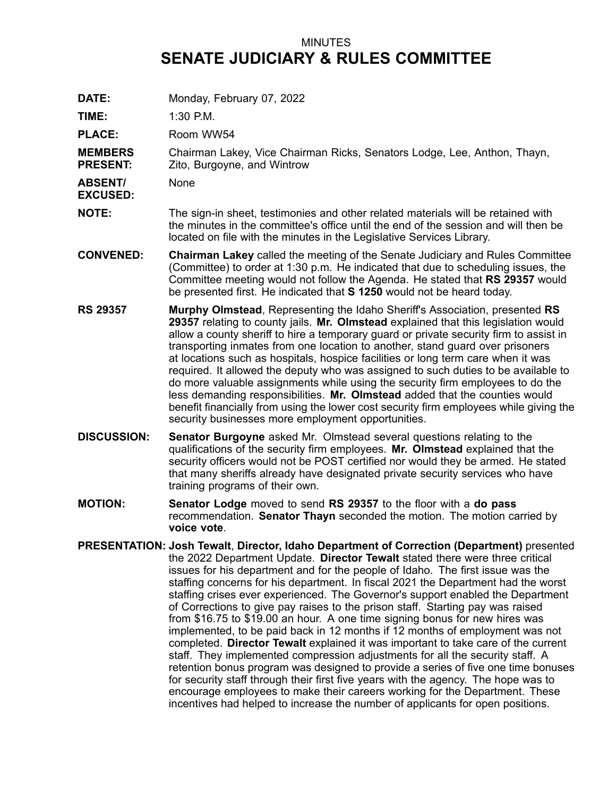## MINUTES **SENATE JUDICIARY & RULES COMMITTEE**

**DATE:** Monday, February 07, 2022

**TIME:** 1:30 P.M.

PLACE: Room WW54

**MEMBERS PRESENT:** Chairman Lakey, Vice Chairman Ricks, Senators Lodge, Lee, Anthon, Thayn, Zito, Burgoyne, and Wintrow

**ABSENT/** None

**EXCUSED:**

- **NOTE:** The sign-in sheet, testimonies and other related materials will be retained with the minutes in the committee's office until the end of the session and will then be located on file with the minutes in the Legislative Services Library.
- **CONVENED: Chairman Lakey** called the meeting of the Senate Judiciary and Rules Committee (Committee) to order at 1:30 p.m. He indicated that due to scheduling issues, the Committee meeting would not follow the Agenda. He stated that **RS 29357** would be presented first. He indicated that **S 1250** would not be heard today.
- **RS 29357 Murphy Olmstead**, Representing the Idaho Sheriff's Association, presented **RS 29357** relating to county jails. **Mr. Olmstead** explained that this legislation would allow <sup>a</sup> county sheriff to hire <sup>a</sup> temporary guard or private security firm to assist in transporting inmates from one location to another, stand guard over prisoners at locations such as hospitals, hospice facilities or long term care when it was required. It allowed the deputy who was assigned to such duties to be available to do more valuable assignments while using the security firm employees to do the less demanding responsibilities. **Mr. Olmstead** added that the counties would benefit financially from using the lower cost security firm employees while giving the security businesses more employment opportunities.
- **DISCUSSION: Senator Burgoyne** asked Mr. Olmstead several questions relating to the qualifications of the security firm employees. **Mr. Olmstead** explained that the security officers would not be POST certified nor would they be armed. He stated that many sheriffs already have designated private security services who have training programs of their own.
- **MOTION: Senator Lodge** moved to send **RS 29357** to the floor with <sup>a</sup> **do pass** recommendation. **Senator Thayn** seconded the motion. The motion carried by **voice vote**.
- **PRESENTATION: Josh Tewalt**, **Director, Idaho Department of Correction (Department)** presented the 2022 Department Update. **Director Tewalt** stated there were three critical issues for his department and for the people of Idaho. The first issue was the staffing concerns for his department. In fiscal 2021 the Department had the worst staffing crises ever experienced. The Governor's support enabled the Department of Corrections to give pay raises to the prison staff. Starting pay was raised from \$16.75 to \$19.00 an hour. A one time signing bonus for new hires was implemented, to be paid back in 12 months if 12 months of employment was not completed. **Director Tewalt** explained it was important to take care of the current staff. They implemented compression adjustments for all the security staff. A retention bonus program was designed to provide <sup>a</sup> series of five one time bonuses for security staff through their first five years with the agency. The hope was to encourage employees to make their careers working for the Department. These incentives had helped to increase the number of applicants for open positions.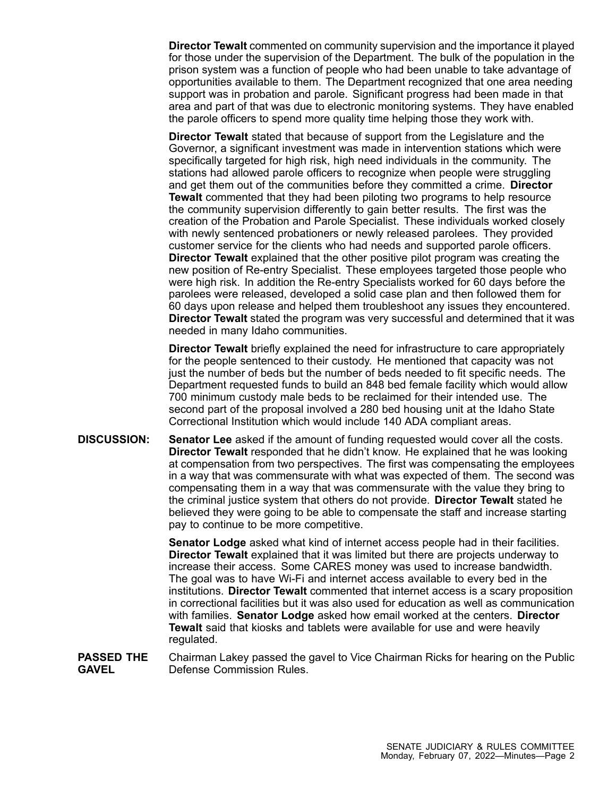**Director Tewalt** commented on community supervision and the importance it played for those under the supervision of the Department. The bulk of the population in the prison system was <sup>a</sup> function of people who had been unable to take advantage of opportunities available to them. The Department recognized that one area needing support was in probation and parole. Significant progress had been made in that area and part of that was due to electronic monitoring systems. They have enabled the parole officers to spend more quality time helping those they work with.

**Director Tewalt** stated that because of support from the Legislature and the Governor, <sup>a</sup> significant investment was made in intervention stations which were specifically targeted for high risk, high need individuals in the community. The stations had allowed parole officers to recognize when people were struggling and get them out of the communities before they committed <sup>a</sup> crime. **Director Tewalt** commented that they had been piloting two programs to help resource the community supervision differently to gain better results. The first was the creation of the Probation and Parole Specialist. These individuals worked closely with newly sentenced probationers or newly released parolees. They provided customer service for the clients who had needs and supported parole officers. **Director Tewalt** explained that the other positive pilot program was creating the new position of Re-entry Specialist. These employees targeted those people who were high risk. In addition the Re-entry Specialists worked for 60 days before the parolees were released, developed <sup>a</sup> solid case plan and then followed them for 60 days upon release and helped them troubleshoot any issues they encountered. **Director Tewalt** stated the program was very successful and determined that it was needed in many Idaho communities.

**Director Tewalt** briefly explained the need for infrastructure to care appropriately for the people sentenced to their custody. He mentioned that capacity was not just the number of beds but the number of beds needed to fit specific needs. The Department requested funds to build an 848 bed female facility which would allow 700 minimum custody male beds to be reclaimed for their intended use. The second part of the proposal involved <sup>a</sup> 280 bed housing unit at the Idaho State Correctional Institution which would include 140 ADA compliant areas.

**DISCUSSION: Senator Lee** asked if the amount of funding requested would cover all the costs. **Director Tewalt** responded that he didn't know. He explained that he was looking at compensation from two perspectives. The first was compensating the employees in <sup>a</sup> way that was commensurate with what was expected of them. The second was compensating them in <sup>a</sup> way that was commensurate with the value they bring to the criminal justice system that others do not provide. **Director Tewalt** stated he believed they were going to be able to compensate the staff and increase starting pay to continue to be more competitive.

> **Senator Lodge** asked what kind of internet access people had in their facilities. **Director Tewalt** explained that it was limited but there are projects underway to increase their access. Some CARES money was used to increase bandwidth. The goal was to have Wi-Fi and internet access available to every bed in the institutions. **Director Tewalt** commented that internet access is <sup>a</sup> scary proposition in correctional facilities but it was also used for education as well as communication with families. **Senator Lodge** asked how email worked at the centers. **Director Tewalt** said that kiosks and tablets were available for use and were heavily regulated.

**PASSED THE GAVEL** Chairman Lakey passed the gavel to Vice Chairman Ricks for hearing on the Public Defense Commission Rules.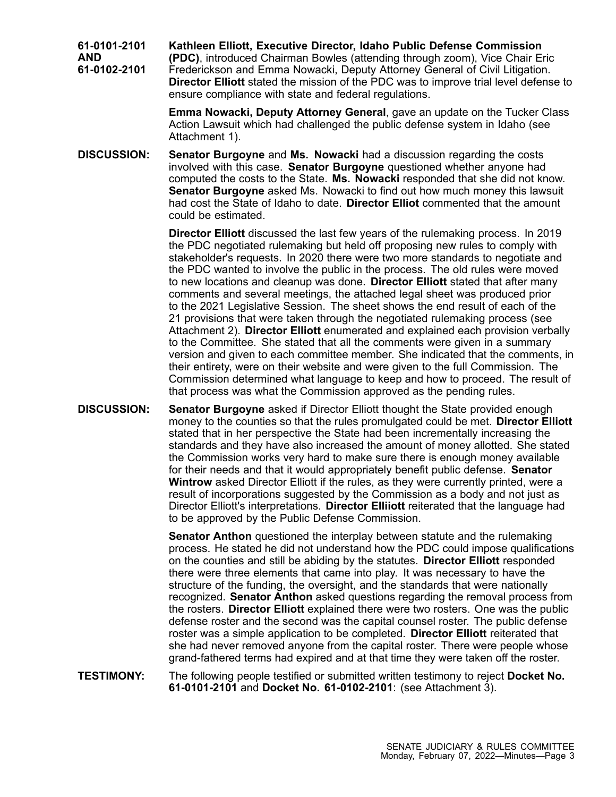**61-0101-2101 AND 61-0102-2101 Kathleen Elliott, Executive Director, Idaho Public Defense Commission (PDC)**, introduced Chairman Bowles (attending through zoom), Vice Chair Eric Frederickson and Emma Nowacki, Deputy Attorney General of Civil Litigation. **Director Elliott** stated the mission of the PDC was to improve trial level defense to ensure compliance with state and federal regulations.

> **Emma Nowacki, Deputy Attorney General**, gave an update on the Tucker Class Action Lawsuit which had challenged the public defense system in Idaho (see Attachment 1).

**DISCUSSION: Senator Burgoyne** and **Ms. Nowacki** had <sup>a</sup> discussion regarding the costs involved with this case. **Senator Burgoyne** questioned whether anyone had computed the costs to the State. **Ms. Nowacki** responded that she did not know. **Senator Burgoyne** asked Ms. Nowacki to find out how much money this lawsuit had cost the State of Idaho to date. **Director Elliot** commented that the amount could be estimated.

> **Director Elliott** discussed the last few years of the rulemaking process. In 2019 the PDC negotiated rulemaking but held off proposing new rules to comply with stakeholder's requests. In 2020 there were two more standards to negotiate and the PDC wanted to involve the public in the process. The old rules were moved to new locations and cleanup was done. **Director Elliott** stated that after many comments and several meetings, the attached legal sheet was produced prior to the 2021 Legislative Session. The sheet shows the end result of each of the 21 provisions that were taken through the negotiated rulemaking process (see Attachment 2). **Director Elliott** enumerated and explained each provision verbally to the Committee. She stated that all the comments were given in <sup>a</sup> summary version and given to each committee member. She indicated that the comments, in their entirety, were on their website and were given to the full Commission. The Commission determined what language to keep and how to proceed. The result of that process was what the Commission approved as the pending rules.

**DISCUSSION: Senator Burgoyne** asked if Director Elliott thought the State provided enough money to the counties so that the rules promulgated could be met. **Director Elliott** stated that in her perspective the State had been incrementally increasing the standards and they have also increased the amount of money allotted. She stated the Commission works very hard to make sure there is enough money available for their needs and that it would appropriately benefit public defense. **Senator Wintrow** asked Director Elliott if the rules, as they were currently printed, were <sup>a</sup> result of incorporations suggested by the Commission as <sup>a</sup> body and not just as Director Elliott's interpretations. **Director Elliiott** reiterated that the language had to be approved by the Public Defense Commission.

> **Senator Anthon** questioned the interplay between statute and the rulemaking process. He stated he did not understand how the PDC could impose qualifications on the counties and still be abiding by the statutes. **Director Elliott** responded there were three elements that came into play. It was necessary to have the structure of the funding, the oversight, and the standards that were nationally recognized. **Senator Anthon** asked questions regarding the removal process from the rosters. **Director Elliott** explained there were two rosters. One was the public defense roster and the second was the capital counsel roster. The public defense roster was <sup>a</sup> simple application to be completed. **Director Elliott** reiterated that she had never removed anyone from the capital roster. There were people whose grand-fathered terms had expired and at that time they were taken off the roster.

**TESTIMONY:** The following people testified or submitted written testimony to reject **Docket No. 61-0101-2101** and **Docket No. 61-0102-2101**: (see Attachment 3).